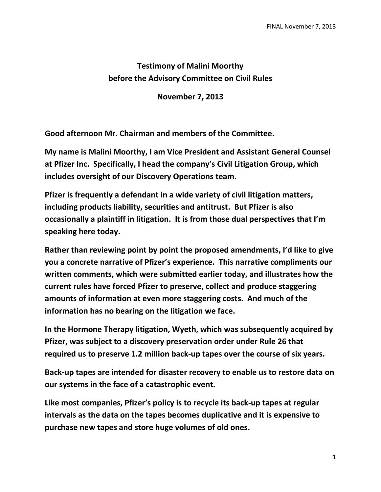## **Testimony of Malini Moorthy before the Advisory Committee on Civil Rules**

**November 7, 2013**

**Good afternoon Mr. Chairman and members of the Committee.**

**My name is Malini Moorthy, I am Vice President and Assistant General Counsel at Pfizer Inc. Specifically, I head the company's Civil Litigation Group, which includes oversight of our Discovery Operations team.** 

**Pfizer is frequently a defendant in a wide variety of civil litigation matters, including products liability, securities and antitrust. But Pfizer is also occasionally a plaintiff in litigation. It is from those dual perspectives that I'm speaking here today.** 

**Rather than reviewing point by point the proposed amendments, I'd like to give you a concrete narrative of Pfizer's experience. This narrative compliments our written comments, which were submitted earlier today, and illustrates how the current rules have forced Pfizer to preserve, collect and produce staggering amounts of information at even more staggering costs. And much of the information has no bearing on the litigation we face.**

**In the Hormone Therapy litigation, Wyeth, which was subsequently acquired by Pfizer, was subject to a discovery preservation order under Rule 26 that required us to preserve 1.2 million back-up tapes over the course of six years.** 

**Back-up tapes are intended for disaster recovery to enable us to restore data on our systems in the face of a catastrophic event.** 

**Like most companies, Pfizer's policy is to recycle its back-up tapes at regular intervals as the data on the tapes becomes duplicative and it is expensive to purchase new tapes and store huge volumes of old ones.**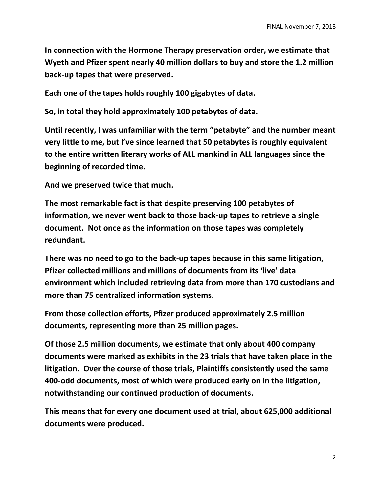**In connection with the Hormone Therapy preservation order, we estimate that Wyeth and Pfizer spent nearly 40 million dollars to buy and store the 1.2 million back-up tapes that were preserved.** 

**Each one of the tapes holds roughly 100 gigabytes of data.**

**So, in total they hold approximately 100 petabytes of data.** 

**Until recently, I was unfamiliar with the term "petabyte" and the number meant very little to me, but I've since learned that 50 petabytes is roughly equivalent to the entire written literary works of ALL mankind in ALL languages since the beginning of recorded time.** 

**And we preserved twice that much.**

**The most remarkable fact is that despite preserving 100 petabytes of information, we never went back to those back-up tapes to retrieve a single document. Not once as the information on those tapes was completely redundant.**

**There was no need to go to the back-up tapes because in this same litigation, Pfizer collected millions and millions of documents from its 'live' data environment which included retrieving data from more than 170 custodians and more than 75 centralized information systems.** 

**From those collection efforts, Pfizer produced approximately 2.5 million documents, representing more than 25 million pages.** 

**Of those 2.5 million documents, we estimate that only about 400 company documents were marked as exhibits in the 23 trials that have taken place in the litigation. Over the course of those trials, Plaintiffs consistently used the same 400-odd documents, most of which were produced early on in the litigation, notwithstanding our continued production of documents.**

**This means that for every one document used at trial, about 625,000 additional documents were produced.**